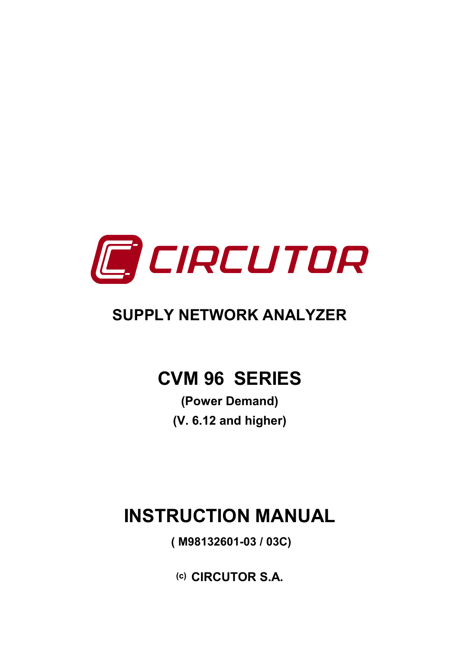

# **SUPPLY NETWORK ANALYZER**

# **CVM 96 SERIES**

**(Power Demand) (V. 6.12 and higher)** 

# **INSTRUCTION MANUAL**

 **( M98132601-03 / 03C)** 

**(c) CIRCUTOR S.A.**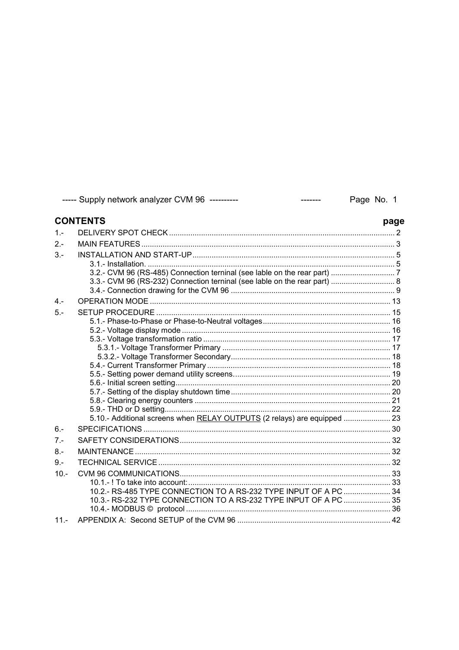|         | ----- Supply network analyzer CVM 96 ----------<br>$- - - - - - -$                                                                   | Page No. 1 |
|---------|--------------------------------------------------------------------------------------------------------------------------------------|------------|
|         | <b>CONTENTS</b>                                                                                                                      | page       |
| $1 -$   |                                                                                                                                      |            |
| $2 -$   |                                                                                                                                      |            |
| $3 -$   | 3.3.- CVM 96 (RS-232) Connection terninal (see lable on the rear part)  8                                                            |            |
| $4 -$   |                                                                                                                                      |            |
| $5 -$   | 5.10.- Additional screens when RELAY OUTPUTS (2 relays) are equipped  23                                                             |            |
| $6 -$   |                                                                                                                                      |            |
| $7 -$   |                                                                                                                                      |            |
| $8 -$   |                                                                                                                                      |            |
| $9 -$   |                                                                                                                                      |            |
| $10. -$ | 10.2.- RS-485 TYPE CONNECTION TO A RS-232 TYPE INPUT OF A PC  34<br>10.3.- RS-232 TYPE CONNECTION TO A RS-232 TYPE INPUT OF A PC  35 |            |
| $11 -$  |                                                                                                                                      |            |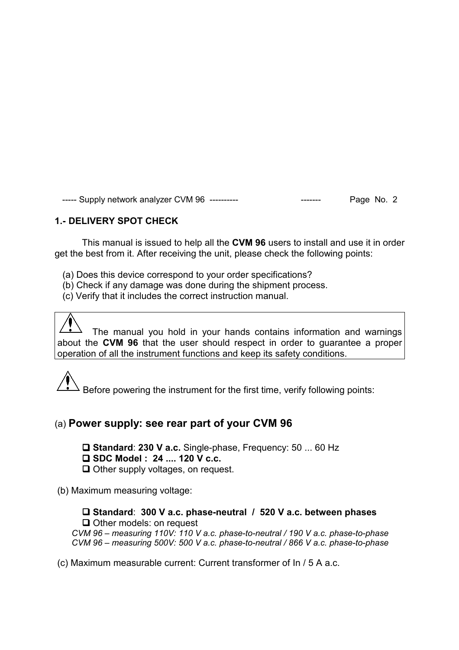# **1.- DELIVERY SPOT CHECK**

This manual is issued to help all the **CVM 96** users to install and use it in order get the best from it. After receiving the unit, please check the following points:

- (a) Does this device correspond to your order specifications?
- (b) Check if any damage was done during the shipment process.
- (c) Verify that it includes the correct instruction manual.

 The manual you hold in your hands contains information and warnings about the **CVM 96** that the user should respect in order to guarantee a proper operation of all the instrument functions and keep its safety conditions.

 $\Delta$  Before powering the instrument for the first time, verify following points:

# (a) **Power supply: see rear part of your CVM 96**

 **Standard**: **230 V a.c.** Single-phase, Frequency: 50 ... 60 Hz **SDC Model : 24 .... 120 V c.c.**

Other supply voltages, on request.

(b) Maximum measuring voltage:

 **Standard**: **300 V a.c. phase-neutral / 520 V a.c. between phases** Other models: on request  *CVM 96 – measuring 110V: 110 V a.c. phase-to-neutral / 190 V a.c. phase-to-phase CVM 96 – measuring 500V: 500 V a.c. phase-to-neutral / 866 V a.c. phase-to-phase* 

(c) Maximum measurable current: Current transformer of In / 5 A a.c.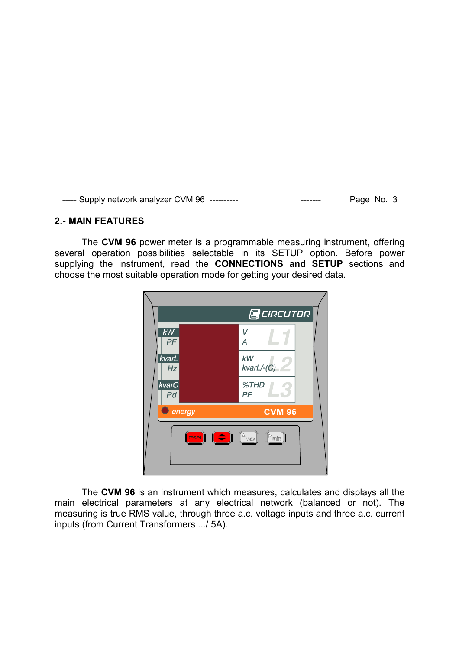#### **2.- MAIN FEATURES**

The **CVM 96** power meter is a programmable measuring instrument, offering several operation possibilities selectable in its SETUP option. Before power supplying the instrument, read the **CONNECTIONS and SETUP** sections and choose the most suitable operation mode for getting your desired data.



The **CVM 96** is an instrument which measures, calculates and displays all the main electrical parameters at any electrical network (balanced or not). The measuring is true RMS value, through three a.c. voltage inputs and three a.c. current inputs (from Current Transformers .../ 5A).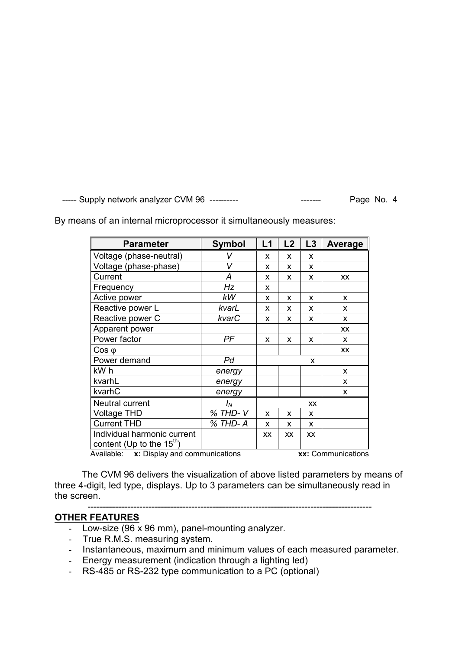| <b>Parameter</b>                                                     | <b>Symbol</b> | L1        | L2        | L3        | Average   |
|----------------------------------------------------------------------|---------------|-----------|-----------|-----------|-----------|
| Voltage (phase-neutral)                                              | V             | X         | X         | X         |           |
| Voltage (phase-phase)                                                | V             | X         | X         | X         |           |
| Current                                                              | Α             | X         | X         | X         | XX        |
| Frequency                                                            | Hz            | X         |           |           |           |
| Active power                                                         | kW            | X         | X         | X         | X         |
| Reactive power L                                                     | kvarL         | X         | x         | X         | X         |
| Reactive power C                                                     | kvarC         | X         | X         | X         | X         |
| Apparent power                                                       |               |           |           |           | <b>XX</b> |
| Power factor                                                         | PF            | X         | x         | x         | x         |
| $\cos \varphi$                                                       |               |           |           |           | <b>XX</b> |
| Power demand                                                         | Pd            | X         |           |           |           |
| kW h                                                                 | energy        |           |           |           | X         |
| kvarhL                                                               | energy        |           |           |           | x         |
| kvarhC                                                               | energy        |           |           |           | X         |
| Neutral current                                                      | $I_N$         | XX        |           |           |           |
| <b>Voltage THD</b>                                                   | % THD-V       | X         | X         | X         |           |
| <b>Current THD</b>                                                   | % THD-A       | x         | X         | X         |           |
| Individual harmonic current<br>content (Up to the $15^{\text{th}}$ ) |               | <b>XX</b> | <b>XX</b> | <b>XX</b> |           |
| xx: Communications<br>Available: x: Display and communications       |               |           |           |           |           |

By means of an internal microprocessor it simultaneously measures:

The CVM 96 delivers the visualization of above listed parameters by means of three 4-digit, led type, displays. Up to 3 parameters can be simultaneously read in the screen.

#### --------------------------------------------------------------------------------------------- **OTHER FEATURES**

- Low-size (96 x 96 mm), panel-mounting analyzer.
- True R.M.S. measuring system.
- Instantaneous, maximum and minimum values of each measured parameter.
- Energy measurement (indication through a lighting led)
- RS-485 or RS-232 type communication to a PC (optional)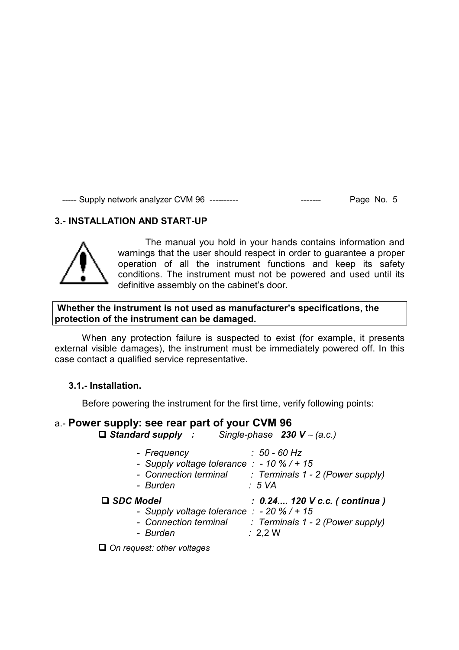# **3.- INSTALLATION AND START-UP**



The manual you hold in your hands contains information and warnings that the user should respect in order to guarantee a proper operation of all the instrument functions and keep its safety conditions. The instrument must not be powered and used until its definitive assembly on the cabinet's door.

#### **Whether the instrument is not used as manufacturer's specifications, the protection of the instrument can be damaged.**

When any protection failure is suspected to exist (for example, it presents external visible damages), the instrument must be immediately powered off. In this case contact a qualified service representative.

#### **3.1.- Installation.**

Before powering the instrument for the first time, verify following points:

#### a.- **Power supply: see rear part of your CVM 96**

*Standard supply : Single-phase 230 V* ∼ *(a.c.)* 

*- Frequency : 50 - 60 Hz - Supply voltage tolerance : - 10 % / + 15 - Connection terminal : Terminals 1 - 2 (Power supply) - Burden : 5 VA SDC Model : 0.24.... 120 V c.c. ( continua ) - Supply voltage tolerance : - 20 % / + 15 - Connection terminal : Terminals 1 - 2 (Power supply) - Burden :* 2,2 W

 *On request: other voltages*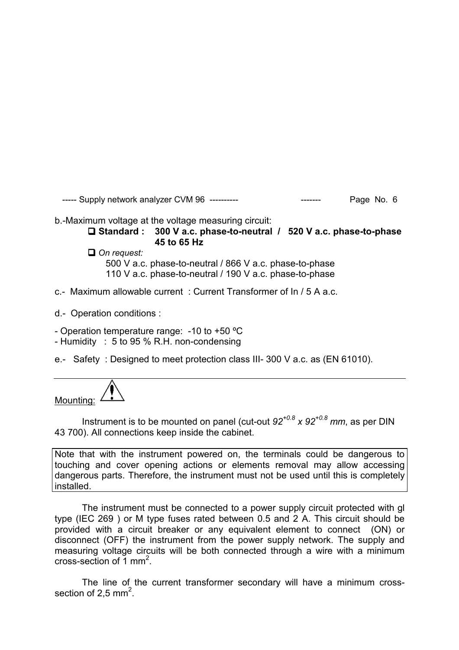b.-Maximum voltage at the voltage measuring circuit:

 **Standard : 300 V a.c. phase-to-neutral / 520 V a.c. phase-to-phase 45 to 65 Hz** 

 *On request:* 500 V a.c. phase-to-neutral / 866 V a.c. phase-to-phase

110 V a.c. phase-to-neutral / 190 V a.c. phase-to-phase

- c.- Maximum allowable current : Current Transformer of In / 5 A a.c.
- d.- Operation conditions :

- Operation temperature range: -10 to +50 ºC

- Humidity : 5 to 95 % R.H. non-condensing

e.- Safety : Designed to meet protection class III- 300 V a.c. as (EN 61010).



Instrument is to be mounted on panel (cut-out *92+0.8 x 92+0.8 mm*, as per DIN 43 700). All connections keep inside the cabinet.

Note that with the instrument powered on, the terminals could be dangerous to touching and cover opening actions or elements removal may allow accessing dangerous parts. Therefore, the instrument must not be used until this is completely installed.

The instrument must be connected to a power supply circuit protected with gl type (IEC 269 ) or M type fuses rated between 0.5 and 2 A. This circuit should be provided with a circuit breaker or any equivalent element to connect (ON) or disconnect (OFF) the instrument from the power supply network. The supply and measuring voltage circuits will be both connected through a wire with a minimum cross-section of  $\overline{1}$  mm<sup>2</sup>.

The line of the current transformer secondary will have a minimum crosssection of 2,5 mm<sup>2</sup>.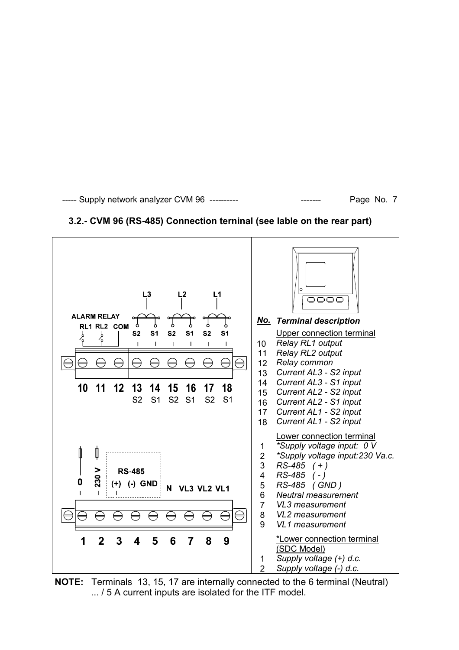

#### **3.2.- CVM 96 (RS-485) Connection terninal (see lable on the rear part)**

**NOTE:** Terminals 13, 15, 17 are internally connected to the 6 terminal (Neutral) ... / 5 A current inputs are isolated for the ITF model.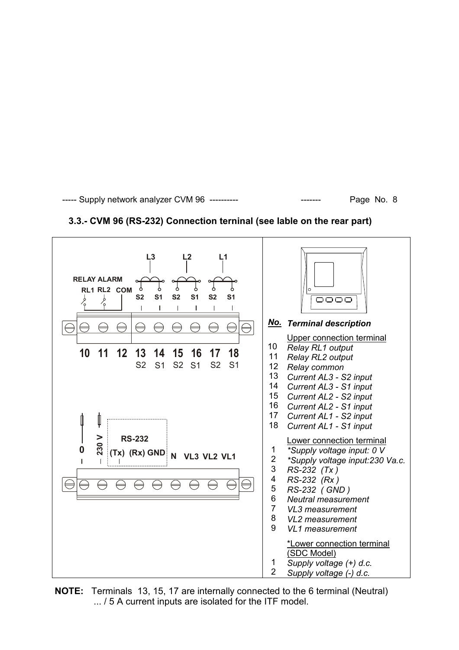

# **3.3.- CVM 96 (RS-232) Connection terninal (see lable on the rear part)**

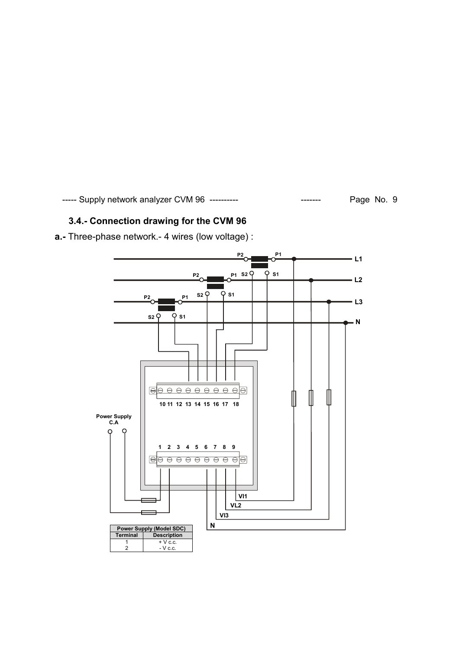# **3.4.- Connection drawing for the CVM 96**

**a.-** Three-phase network.- 4 wires (low voltage) :

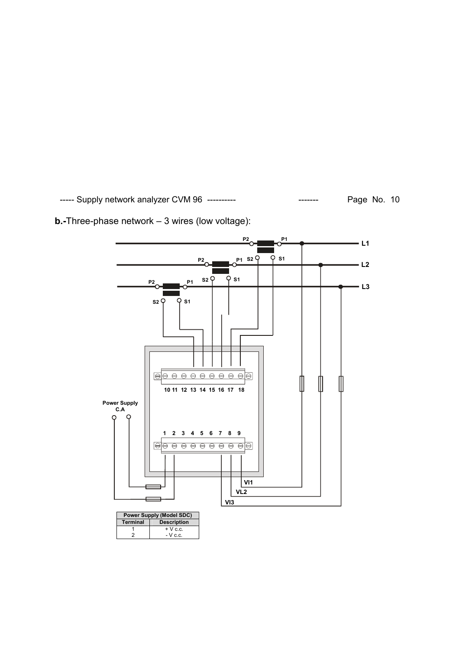![](_page_10_Figure_2.jpeg)

**b.-**Three-phase network – 3 wires (low voltage):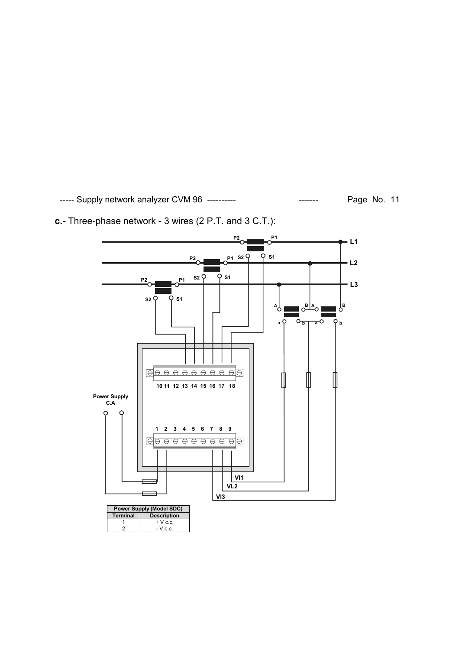**c.-** Three-phase network - 3 wires (2 P.T. and 3 C.T.):

![](_page_11_Figure_3.jpeg)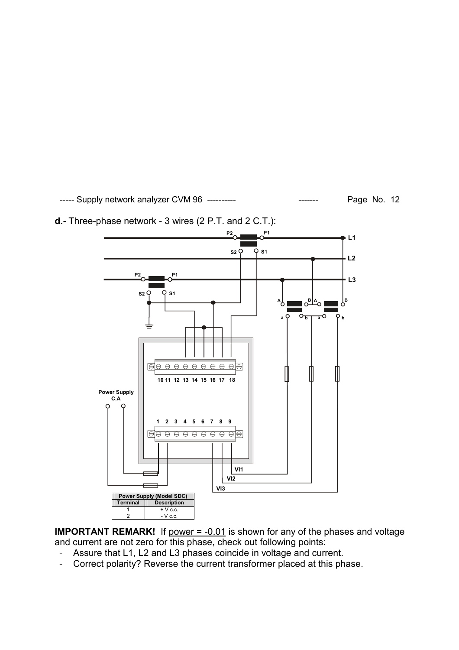![](_page_12_Figure_2.jpeg)

**d.-** Three-phase network - 3 wires (2 P.T. and 2 C.T.):

**IMPORTANT REMARK!** If power = -0.01 is shown for any of the phases and voltage and current are not zero for this phase, check out following points:

- Assure that L1, L2 and L3 phases coincide in voltage and current.
- Correct polarity? Reverse the current transformer placed at this phase.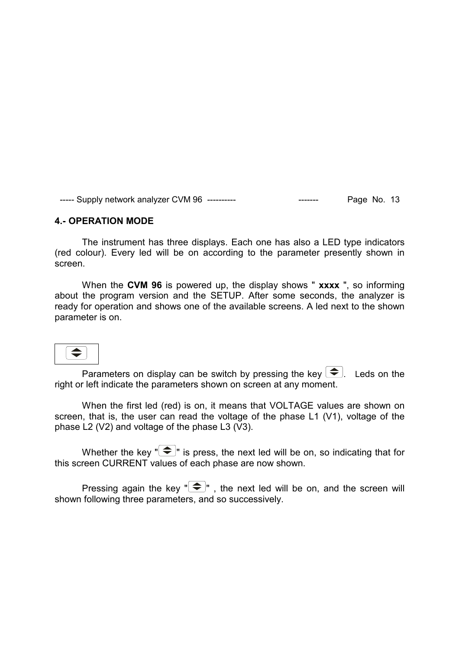#### **4.- OPERATION MODE**

The instrument has three displays. Each one has also a LED type indicators (red colour). Every led will be on according to the parameter presently shown in screen.

When the **CVM 96** is powered up, the display shows " **xxxx** ", so informing about the program version and the SETUP. After some seconds, the analyzer is ready for operation and shows one of the available screens. A led next to the shown parameter is on.

 $\Leftrightarrow$ 

Parameters on display can be switch by pressing the key  $\blacktriangleright$ . Leds on the right or left indicate the parameters shown on screen at any moment.

When the first led (red) is on, it means that VOLTAGE values are shown on screen, that is, the user can read the voltage of the phase L1 (V1), voltage of the phase L2 (V2) and voltage of the phase L3 (V3).

Whether the key  $\left($   $\blacktriangleright$  is press, the next led will be on, so indicating that for this screen CURRENT values of each phase are now shown.

Pressing again the key  $\left($   $\blacktriangleright$   $\right)$  , the next led will be on, and the screen will shown following three parameters, and so successively.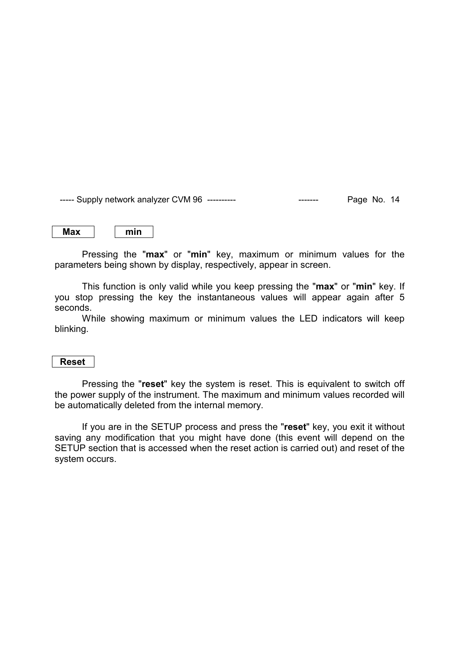| $\sim$ |
|--------|
|--------|

Pressing the "**max**" or "**min**" key, maximum or minimum values for the parameters being shown by display, respectively, appear in screen.

This function is only valid while you keep pressing the "**max**" or "**min**" key. If you stop pressing the key the instantaneous values will appear again after 5 seconds.

While showing maximum or minimum values the LED indicators will keep blinking.

#### **Reset**

Pressing the "**reset**" key the system is reset. This is equivalent to switch off the power supply of the instrument. The maximum and minimum values recorded will be automatically deleted from the internal memory.

If you are in the SETUP process and press the "**reset**" key, you exit it without saving any modification that you might have done (this event will depend on the SETUP section that is accessed when the reset action is carried out) and reset of the system occurs.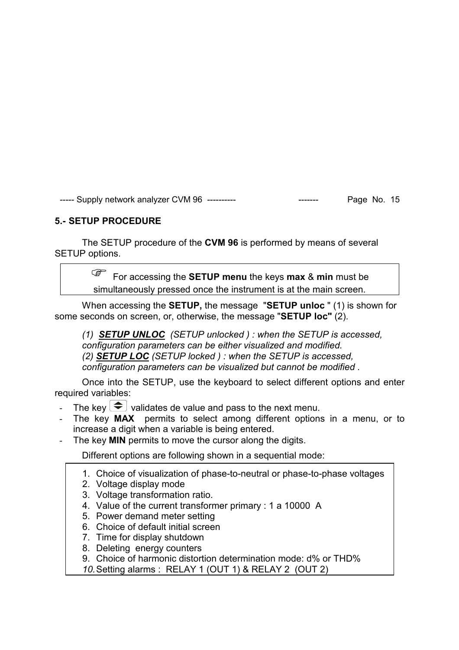# **5.- SETUP PROCEDURE**

The SETUP procedure of the **CVM 96** is performed by means of several SETUP options.

> For accessing the **SETUP menu** the keys **max** & **min** must be simultaneously pressed once the instrument is at the main screen.

When accessing the **SETUP,** the message "**SETUP unloc** " (1) is shown for some seconds on screen, or, otherwise, the message "**SETUP loc"** (2).

*(1) SETUP UNLOC (SETUP unlocked ) : when the SETUP is accessed, configuration parameters can be either visualized and modified. (2) SETUP LOC (SETUP locked ) : when the SETUP is accessed, configuration parameters can be visualized but cannot be modified .* 

Once into the SETUP, use the keyboard to select different options and enter required variables:

- The key  $\bigcirc$  validates de value and pass to the next menu.
- The key **MAX** permits to select among different options in a menu, or to increase a digit when a variable is being entered.
- The key **MIN** permits to move the cursor along the digits.

Different options are following shown in a sequential mode:

- 1. Choice of visualization of phase-to-neutral or phase-to-phase voltages
- 2. Voltage display mode
- 3. Voltage transformation ratio.
- 4. Value of the current transformer primary : 1 a 10000 A
- 5. Power demand meter setting
- 6. Choice of default initial screen
- 7. Time for display shutdown
- 8. Deleting energy counters
- 9. Choice of harmonic distortion determination mode: d% or THD%
- *10.* Setting alarms : RELAY 1 (OUT 1) & RELAY 2 (OUT 2)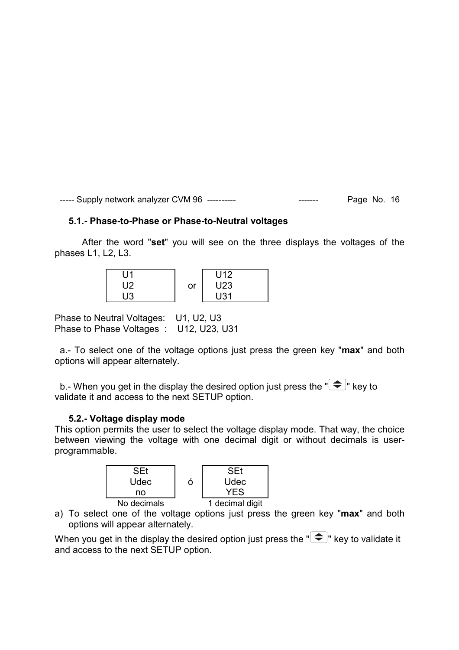#### **5.1.- Phase-to-Phase or Phase-to-Neutral voltages**

After the word "**set**" you will see on the three displays the voltages of the phases L1, L2, L3.

| U1           |    | U <sub>12</sub> |
|--------------|----|-----------------|
| $\mathsf{L}$ | or | U <sub>23</sub> |
| UЗ           |    | U31             |

Phase to Neutral Voltages: U1, U2, U3 Phase to Phase Voltages : U12, U23, U31

 a.- To select one of the voltage options just press the green key "**max**" and both options will appear alternately.

b.- When you get in the display the desired option just press the  $\mathbb{R}$   $\rightarrow$  key to validate it and access to the next SETUP option.

#### **5.2.- Voltage display mode**

This option permits the user to select the voltage display mode. That way, the choice between viewing the voltage with one decimal digit or without decimals is userprogrammable.

![](_page_16_Figure_9.jpeg)

a) To select one of the voltage options just press the green key "**max**" and both options will appear alternately.

When you get in the display the desired option just press the  $\mathbb{F}(\widehat{\div})^n$  key to validate it and access to the next SETUP option.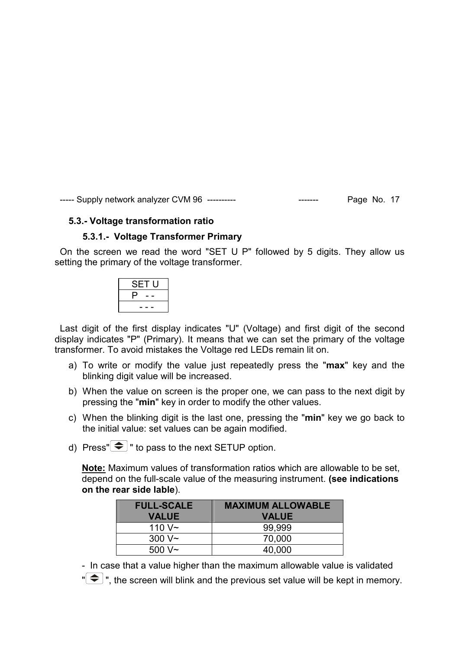#### **5.3.- Voltage transformation ratio**

#### **5.3.1.- Voltage Transformer Primary**

 On the screen we read the word "SET U P" followed by 5 digits. They allow us setting the primary of the voltage transformer.

| SET U |
|-------|
| μ     |
| - -   |

 Last digit of the first display indicates "U" (Voltage) and first digit of the second display indicates "P" (Primary). It means that we can set the primary of the voltage transformer. To avoid mistakes the Voltage red LEDs remain lit on.

- a) To write or modify the value just repeatedly press the "**max**" key and the blinking digit value will be increased.
- b) When the value on screen is the proper one, we can pass to the next digit by pressing the "**min**" key in order to modify the other values.
- c) When the blinking digit is the last one, pressing the "**min**" key we go back to the initial value: set values can be again modified.
- d) Press" $\bigcirc$  " to pass to the next SETUP option.

**Note:** Maximum values of transformation ratios which are allowable to be set, depend on the full-scale value of the measuring instrument. **(see indications on the rear side lable**).

| <b>FULL-SCALE</b> | <b>MAXIMUM ALLOWABLE</b> |
|-------------------|--------------------------|
| <b>VALUE</b>      | <b>VALUE</b>             |
| 110 $V \sim$      | 99.999                   |
| $300V -$          | 70,000                   |
| 500 V~            | 40.000                   |

- In case that a value higher than the maximum allowable value is validated

 $\overline{\bullet}$  ", the screen will blink and the previous set value will be kept in memory.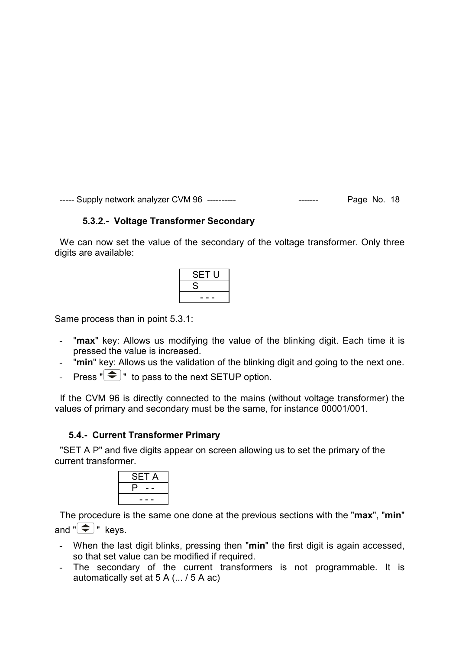# **5.3.2.- Voltage Transformer Secondary**

We can now set the value of the secondary of the voltage transformer. Only three digits are available:

| SET U |  |
|-------|--|
| S     |  |
| - -   |  |
|       |  |

Same process than in point 5.3.1:

- "**max**" key: Allows us modifying the value of the blinking digit. Each time it is pressed the value is increased.
- "**min**" key: Allows us the validation of the blinking digit and going to the next one.
- Press  $\sqrt[m]{\bigoplus}$  " to pass to the next SETUP option.

 If the CVM 96 is directly connected to the mains (without voltage transformer) the values of primary and secondary must be the same, for instance 00001/001.

#### **5.4.- Current Transformer Primary**

 "SET A P" and five digits appear on screen allowing us to set the primary of the current transformer.

| SET<br>Α |
|----------|
|          |
|          |

 The procedure is the same one done at the previous sections with the "**max**", "**min**" and  $\sqrt[m]{\bigoplus}$  " keys.

- When the last digit blinks, pressing then "**min**" the first digit is again accessed, so that set value can be modified if required.
- The secondary of the current transformers is not programmable. It is automatically set at 5 A (... / 5 A ac)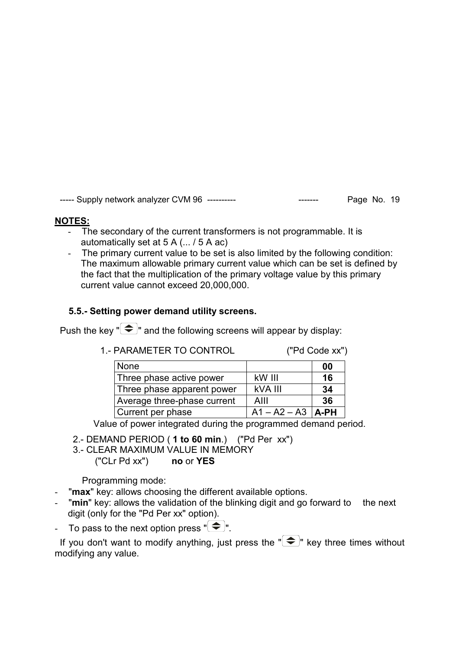# **NOTES:**

- The secondary of the current transformers is not programmable. It is automatically set at 5 A (... / 5 A ac)
- The primary current value to be set is also limited by the following condition: The maximum allowable primary current value which can be set is defined by the fact that the multiplication of the primary voltage value by this primary current value cannot exceed 20,000,000.

# **5.5.- Setting power demand utility screens.**

Push the key " $\bigcirc$ " and the following screens will appear by display:

| 1.- PARAMETER TO CONTROL    |                | ("Pd Code xx") |
|-----------------------------|----------------|----------------|
| None                        |                | 00             |
| Three phase active power    | kW III         | 16             |
| Three phase apparent power  | kVA III        | 34             |
| Average three-phase current | AIII           | 36             |
| Current per phase           | $A1 - A2 - A3$ | <b>A-PH</b>    |

Value of power integrated during the programmed demand period.

- 2.- DEMAND PERIOD ( **1 to 60 min**.) ("Pd Per xx")
- 3.- CLEAR MAXIMUM VALUE IN MEMORY
	- ("CLr Pd xx") **no** or **YES**

Programming mode:

- "**max**" key: allows choosing the different available options.
- "**min**" key: allows the validation of the blinking digit and go forward to the next digit (only for the "Pd Per xx" option).
- To pass to the next option press  $\mathbb{R}^n$ .

If you don't want to modify anything, just press the  $\mathbb{F}$   $\rightarrow$  key three times without modifying any value.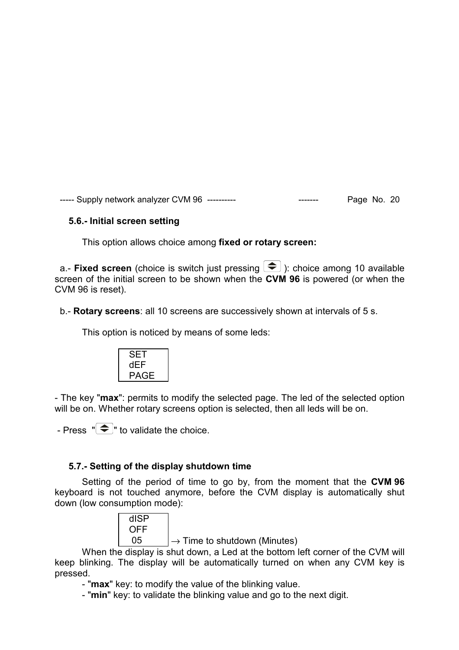# **5.6.- Initial screen setting**

This option allows choice among **fixed or rotary screen:** 

a.- **Fixed screen** (choice is switch just pressing  $\left( \bigstar \right)$ ): choice among 10 available screen of the initial screen to be shown when the **CVM 96** is powered (or when the CVM 96 is reset).

b.- **Rotary screens**: all 10 screens are successively shown at intervals of 5 s.

This option is noticed by means of some leds:

- The key "**max**": permits to modify the selected page. The led of the selected option will be on. Whether rotary screens option is selected, then all leds will be on.

- Press  $\overline{\bullet}$  " to validate the choice.

# **5.7.- Setting of the display shutdown time**

Setting of the period of time to go by, from the moment that the **CVM 96** keyboard is not touched anymore, before the CVM display is automatically shut down (low consumption mode):

![](_page_20_Picture_11.jpeg)

05  $\rightarrow$  Time to shutdown (Minutes)

When the display is shut down, a Led at the bottom left corner of the CVM will keep blinking. The display will be automatically turned on when any CVM key is pressed.

- "**max**" key: to modify the value of the blinking value.

- "**min**" key: to validate the blinking value and go to the next digit.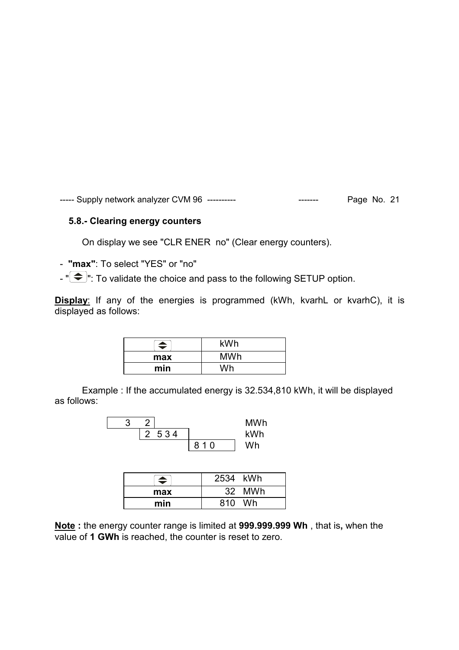#### **5.8.- Clearing energy counters**

On display we see "CLR ENER no" (Clear energy counters).

- **"max"**: To select "YES" or "no"

 $-$  " $\bigodot$ ": To validate the choice and pass to the following SETUP option.

**Display**: If any of the energies is programmed (kWh, kvarhL or kvarhC), it is displayed as follows:

| ▲   | kWh        |
|-----|------------|
| max | <b>MWh</b> |
| min | Wh         |

Example : If the accumulated energy is 32.534,810 kWh, it will be displayed as follows:

|  |         |     | <b>MWh</b> |
|--|---------|-----|------------|
|  | 2 5 3 4 |     | kWh        |
|  |         | 810 | Wh         |

| $\blacktriangle$ | 2534 kWh  |
|------------------|-----------|
| max              | 32 MWh    |
| min              | Wh<br>810 |

**Note :** the energy counter range is limited at **999.999.999 Wh** , that is**,** when the value of **1 GWh** is reached, the counter is reset to zero.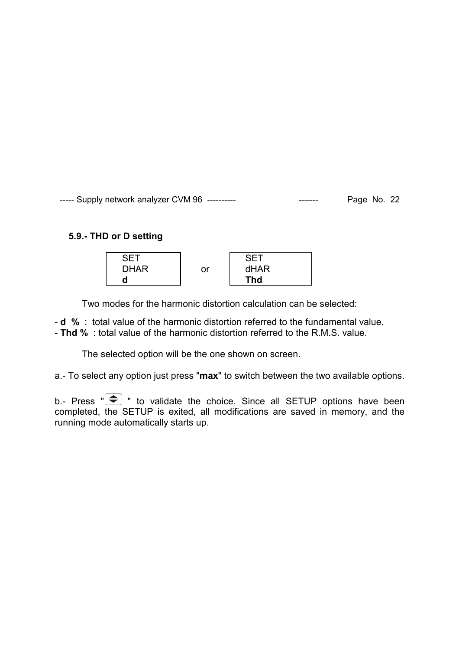#### **5.9.- THD or D setting**

![](_page_22_Figure_2.jpeg)

Two modes for the harmonic distortion calculation can be selected:

- **d %** : total value of the harmonic distortion referred to the fundamental value.

- **Thd %** : total value of the harmonic distortion referred to the R.M.S. value.

The selected option will be the one shown on screen.

a.- To select any option just press "**max**" to switch between the two available options.

b.- Press  $"\infty"$  to validate the choice. Since all SETUP options have been completed, the SETUP is exited, all modifications are saved in memory, and the running mode automatically starts up.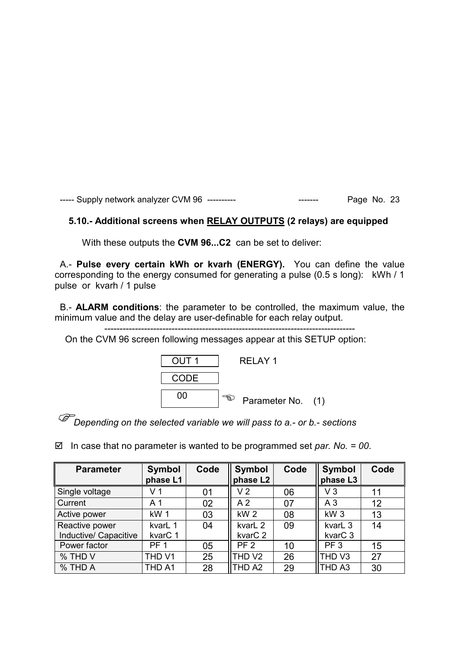#### **5.10.- Additional screens when RELAY OUTPUTS (2 relays) are equipped**

With these outputs the **CVM 96...C2** can be set to deliver:

 A.- **Pulse every certain kWh or kvarh (ENERGY).** You can define the value corresponding to the energy consumed for generating a pulse (0.5 s long): kWh / 1 pulse or kvarh / 1 pulse

 B.- **ALARM conditions**: the parameter to be controlled, the maximum value, the minimum value and the delay are user-definable for each relay output.

----------------------------------------------------------------------------------

On the CVM 96 screen following messages appear at this SETUP option:

![](_page_23_Figure_7.jpeg)

*Depending on the selected variable we will pass to a.- or b.- sections* 

In case that no parameter is wanted to be programmed set *par. No. = 00*.

| <b>Parameter</b>                        | <b>Symbol</b><br>phase L1      | Code | <b>Symbol</b><br>phase L2      | Code | <b>Symbol</b><br>phase L3                 | Code |
|-----------------------------------------|--------------------------------|------|--------------------------------|------|-------------------------------------------|------|
| Single voltage                          | V <sub>1</sub>                 | 01   | V <sub>2</sub>                 | 06   | V3                                        | 11   |
| Current                                 | A <sub>1</sub>                 | 02   | A <sub>2</sub>                 | 07   | A <sub>3</sub>                            | 12   |
| Active power                            | kW <sub>1</sub>                | 03   | kW <sub>2</sub>                | 08   | kW <sub>3</sub>                           | 13   |
| Reactive power<br>Inductive/ Capacitive | kvarL 1<br>kvar <sub>C</sub> 1 | 04   | kvarL 2<br>kvar <sub>C</sub> 2 | 09   | kvarL <sub>3</sub><br>kvar <sub>C</sub> 3 | 14   |
| Power factor                            | PF <sub>1</sub>                | 05   | PF <sub>2</sub>                | 10   | PF <sub>3</sub>                           | 15   |
| % THD V                                 | THD V1                         | 25   | THD V2                         | 26   | THD V3                                    | 27   |
| % THD A                                 | THD A1                         | 28   | THD A2                         | 29   | THD A3                                    | 30   |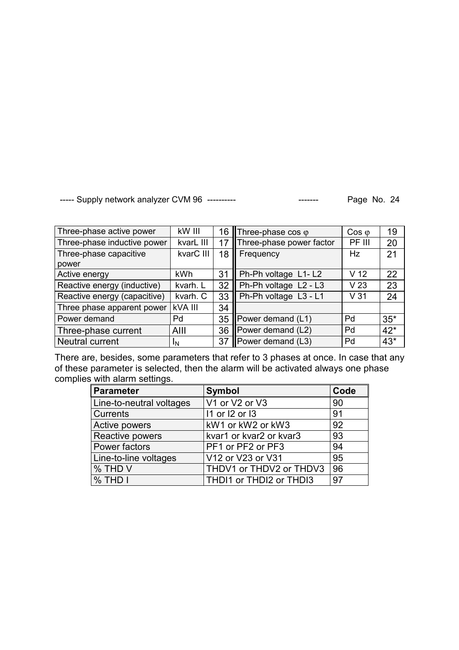| Three-phase active power     | kW III         | 16 | <b>Three-phase cos <math>\varphi</math></b> | $\cos \varphi$  | 19    |
|------------------------------|----------------|----|---------------------------------------------|-----------------|-------|
| Three-phase inductive power  | kvarL III      | 17 | Three-phase power factor                    | PF III          | 20    |
| Three-phase capacitive       | kvarC III      | 18 | Frequency                                   | Hz              | 21    |
| power                        |                |    |                                             |                 |       |
| Active energy                | kWh            | 31 | Ph-Ph voltage L1-L2                         | V <sub>12</sub> | 22    |
| Reactive energy (inductive)  | kvarh. L       | 32 | Ph-Ph voltage L2 - L3                       | V <sub>23</sub> | 23    |
| Reactive energy (capacitive) | kvarh. C       | 33 | Ph-Ph voltage L3 - L1                       | V <sub>31</sub> | 24    |
| Three phase apparent power   | <b>kVA III</b> | 34 |                                             |                 |       |
| Power demand                 | Pd             | 35 | Power demand (L1)                           | Pd              | $35*$ |
| Three-phase current          | AIII           | 36 | Power demand (L2)                           | Pd              | $42*$ |
| <b>Neutral current</b>       | IΝ             | 37 | Power demand (L3)                           | Pd              | $43*$ |

There are, besides, some parameters that refer to 3 phases at once. In case that any of these parameter is selected, then the alarm will be activated always one phase complies with alarm settings.

| <b>Parameter</b>         | <b>Symbol</b>           | Code |
|--------------------------|-------------------------|------|
| Line-to-neutral voltages | V1 or V2 or V3          | 90   |
| Currents                 | 11 or 12 or 13          | 91   |
| Active powers            | kW1 or kW2 or kW3       | 92   |
| Reactive powers          | kvar1 or kvar2 or kvar3 | 93   |
| Power factors            | PF1 or PF2 or PF3       | 94   |
| Line-to-line voltages    | V12 or V23 or V31       | 95   |
| % THD V                  | THDV1 or THDV2 or THDV3 | 96   |
| % THD I                  | THDI1 or THDI2 or THDI3 | 97   |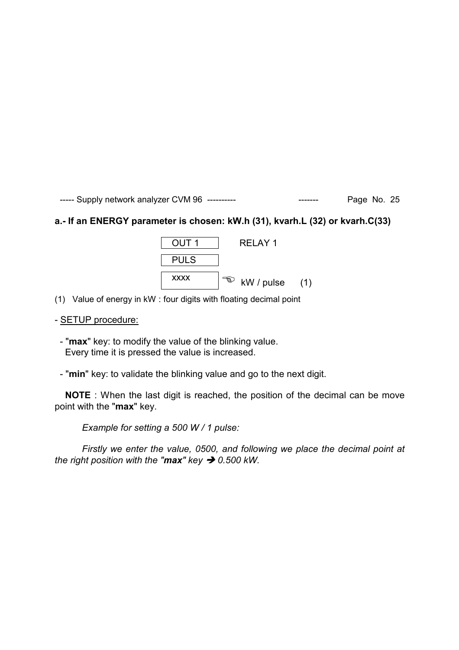# **a.- If an ENERGY parameter is chosen: kW.h (31), kvarh.L (32) or kvarh.C(33)**

![](_page_25_Figure_2.jpeg)

(1) Value of energy in kW : four digits with floating decimal point

#### - SETUP procedure:

 - "**max**" key: to modify the value of the blinking value. Every time it is pressed the value is increased.

- "**min**" key: to validate the blinking value and go to the next digit.

 **NOTE** : When the last digit is reached, the position of the decimal can be move point with the "**max**" key.

*Example for setting a 500 W / 1 pulse:* 

*Firstly we enter the value, 0500, and following we place the decimal point at the right position with the "max" key*  $\rightarrow$  *0.500 kW.*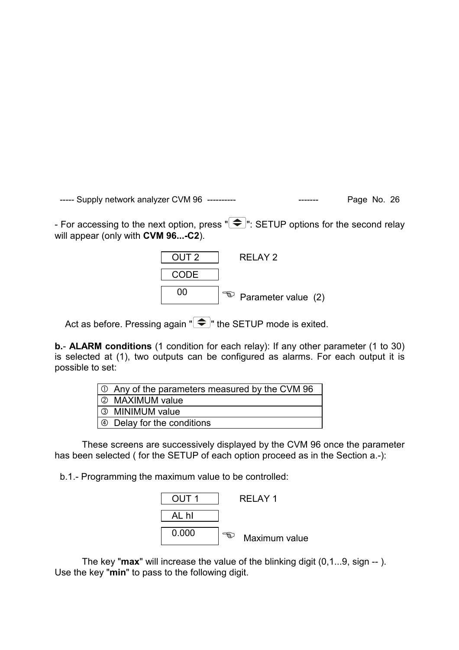- For accessing to the next option, press  $\overline{\bullet}$  : SETUP options for the second relay will appear (only with **CVM 96...-C2**).

![](_page_26_Figure_2.jpeg)

Act as before. Pressing again " $\bigcirc$ " the SETUP mode is exited.

**b.**- **ALARM conditions** (1 condition for each relay): If any other parameter (1 to 30) is selected at (1), two outputs can be configured as alarms. For each output it is possible to set:

| $\vert \circlearrowright$ Any of the parameters measured by the CVM 96 |
|------------------------------------------------------------------------|
| 2 MAXIMUM value                                                        |
| 3 MINIMUM value                                                        |
| $\Theta$ Delay for the conditions                                      |

These screens are successively displayed by the CVM 96 once the parameter has been selected ( for the SETUP of each option proceed as in the Section a.-):

b.1.- Programming the maximum value to be controlled:

![](_page_26_Figure_8.jpeg)

The key "**max**" will increase the value of the blinking digit (0,1...9, sign -- ). Use the key "**min**" to pass to the following digit.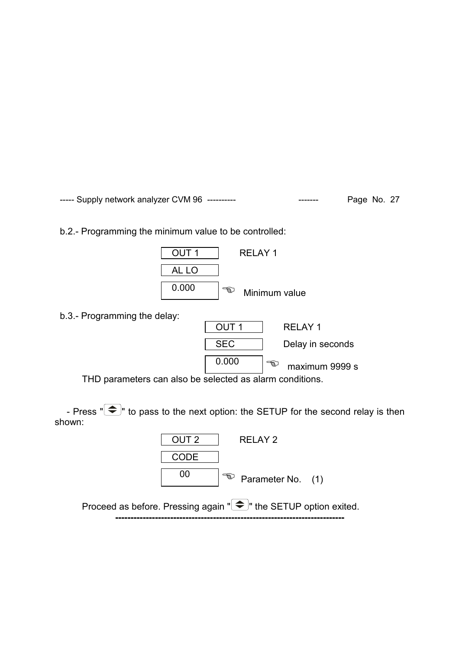b.2.- Programming the minimum value to be controlled:

![](_page_27_Figure_2.jpeg)

b.3.- Programming the delay:

| $5.0.1$ rogramming the ablay.                              |            |                     |
|------------------------------------------------------------|------------|---------------------|
|                                                            | OUT 1      | RELAY 1             |
|                                                            | <b>SEC</b> | Delay in seconds    |
|                                                            | 0.000      | ත<br>maximum 9999 s |
| TUD perspecters can also be selected as elergy conditions. |            |                     |

THD parameters can also be selected as alarm conditions.

- Press  $\sqrt[n]{\bigoplus}$  to pass to the next option: the SETUP for the second relay is then shown:

| OUT <sub>2</sub> | RFI AY 2                                                                  |  |
|------------------|---------------------------------------------------------------------------|--|
| CODE             |                                                                           |  |
| 00               | $\sqrt{a}$ Parameter No. (1)                                              |  |
|                  | Proceed as before. Pressing again " $\bigcirc$ " the SETUP option exited. |  |

**---------------------------------------------------------------------------**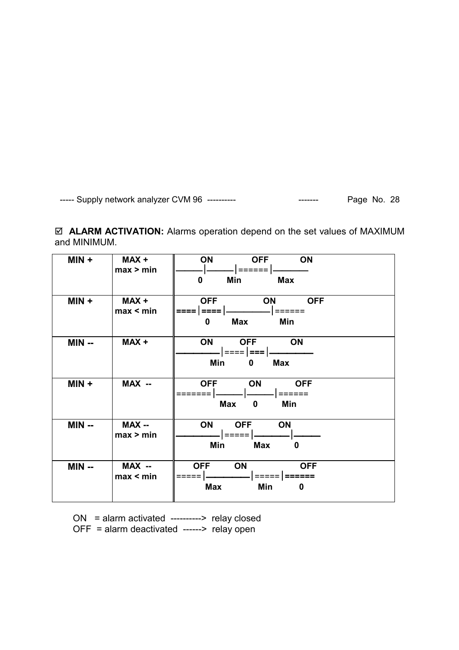**ALARM ACTIVATION:** Alarms operation depend on the set values of MAXIMUM and MINIMUM.

| $MIN +$ | MAX+<br>max > min   | ON<br><b>OFF</b><br><b>ON</b><br>======  <br><b>Max</b><br>0<br>Min            |
|---------|---------------------|--------------------------------------------------------------------------------|
| $MIN +$ | MAX+<br>max < min   | <b>OFF</b><br>ON<br><b>OFF</b><br>====   ====  <br>  ======<br>Max<br>Min<br>0 |
| $MIN -$ | MAX+                | ON<br><b>OFF</b><br>ON<br>Min<br><b>Max</b><br>0                               |
| $MIN +$ | MAX --              | ON<br><b>OFF</b><br><b>OFF</b><br>Max<br>Min<br>$\mathbf{0}$                   |
| $MIN -$ | MAX --<br>max > min | ON<br><b>OFF</b><br><b>ON</b><br>l ===== l<br>Max<br><b>Min</b><br>0           |
| $MIN -$ | MAX --<br>max < min | ON<br><b>OFF</b><br><b>OFF</b><br>=====   ======<br>Min<br><b>Max</b><br>0     |

 ON = alarm activated ----------> relay closed OFF = alarm deactivated ------> relay open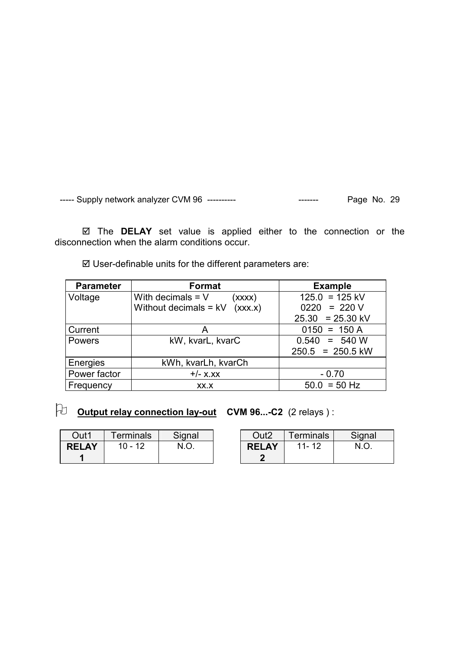The **DELAY** set value is applied either to the connection or the disconnection when the alarm conditions occur.

User-definable units for the different parameters are:

| <b>Parameter</b> | Format                             | <b>Example</b>     |
|------------------|------------------------------------|--------------------|
| Voltage          | With decimals $= V$<br>(xxxx)      | $125.0 = 125$ kV   |
|                  | Without decimals = $kV$<br>(xxx.x) | $0220 = 220 V$     |
|                  |                                    | $25.30 = 25.30$ kV |
| Current          | Α                                  | $0150 = 150 A$     |
| <b>Powers</b>    | kW, kvarL, kvarC                   | $0.540 = 540 W$    |
|                  |                                    | $250.5 = 250.5$ kW |
| Energies         | kWh, kvarLh, kvarCh                |                    |
| Power factor     | $+/-$ X.XX                         | $-0.70$            |
| Frequency        | XX.X                               | $50.0 = 50$ Hz     |

# - **Output relay connection lay-out CVM 96...-C2** (2 relays ) :

| Out1         | <b>Terminals</b> | Signal | Out2         | Terminals | Signal |
|--------------|------------------|--------|--------------|-----------|--------|
| <b>RELAY</b> | $10 - 12$        |        | <b>RELAY</b> | 11-12     |        |
|              |                  |        |              |           |        |

| O <sub>II</sub> 17 | <b>Terminals</b> | Signal |
|--------------------|------------------|--------|
| <b>RELAY</b>       | $11 - 12$        | N O    |
|                    |                  |        |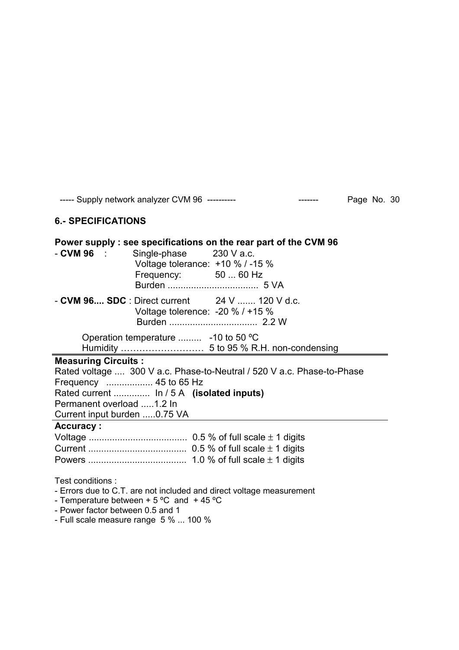#### **6.- SPECIFICATIONS**

| Power supply : see specifications on the rear part of the CVM 96<br>$-$ CVM 96 $\pm$<br>Single-phase 230 V a.c.<br>Voltage tolerance: $+10 \%$ / -15 %<br>Frequency: 50  60 Hz |
|--------------------------------------------------------------------------------------------------------------------------------------------------------------------------------|
| $-$ CVM 96 SDC : Direct current 24 V  120 V d.c.<br>Voltage tolerence: $-20\%$ / $+15\%$                                                                                       |
| Operation temperature  -10 to 50 °C                                                                                                                                            |
|                                                                                                                                                                                |
| <b>Measuring Circuits:</b>                                                                                                                                                     |
| Rated voltage  300 V a.c. Phase-to-Neutral / 520 V a.c. Phase-to-Phase                                                                                                         |
| Frequency  45 to 65 Hz                                                                                                                                                         |
| Rated current  In / 5 A (isolated inputs)                                                                                                                                      |
| Permanent overload 1.2 In                                                                                                                                                      |
| Current input burden 0.75 VA                                                                                                                                                   |
| <b>Accuracy:</b>                                                                                                                                                               |
|                                                                                                                                                                                |
|                                                                                                                                                                                |
|                                                                                                                                                                                |
| Test conditions:<br>- Errors due to C.T. are not included and direct voltage measurement<br>- Temperature between $+5$ °C and $+45$ °C                                         |

- Power factor between 0.5 and 1

- Full scale measure range 5 % ... 100 %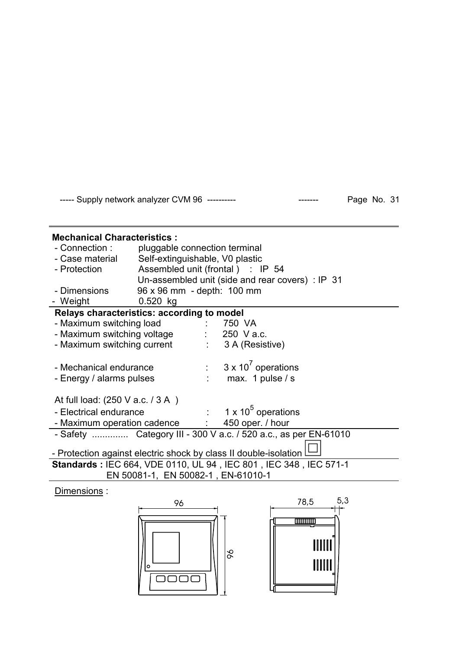# **Mechanical Characteristics :**  - Connection : pluggable connection terminal - Case material Self-extinguishable, V0 plastic - Protection Assembled unit (frontal ) : IP 54 Un-assembled unit (side and rear covers) : IP 31 - Dimensions 96 x 96 mm - depth: 100 mm - Weight 0.520 kg **Relays characteristics: according to model**  - Maximum switching load : 750 VA - Maximum switching voltage : 250 V a.c. - Maximum switching current : 3 A (Resistive) - Mechanical endurance  $3 \times 10^7$  operations - Energy / alarms pulses : max. 1 pulse / s At full load: (250 V a.c. / 3 A ) - Electrical endurance 1 x  $10^5$  operations - Maximum operation cadence : 450 oper. / hour - Safety .............. Category III - 300 V a.c. / 520 a.c., as per EN-61010 - Protection against electric shock by class II double-isolation I **Standards :** IEC 664, VDE 0110, UL 94 , IEC 801 , IEC 348 , IEC 571-1 EN 50081-1, EN 50082-1 , EN-61010-1

#### Dimensions :

![](_page_31_Figure_4.jpeg)

![](_page_31_Figure_5.jpeg)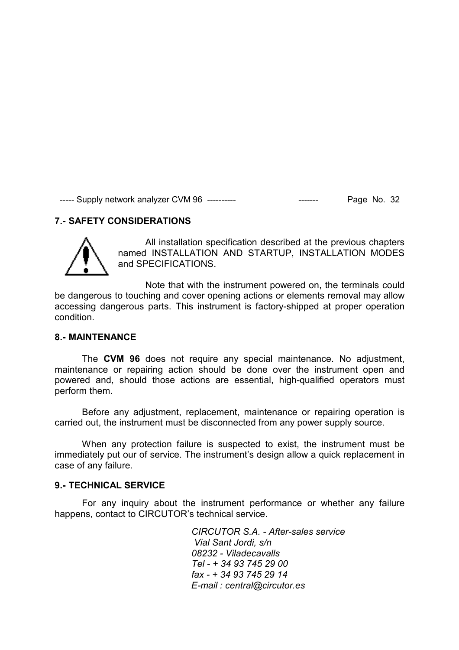# **7.- SAFETY CONSIDERATIONS**

![](_page_32_Picture_2.jpeg)

All installation specification described at the previous chapters named INSTALLATION AND STARTUP, INSTALLATION MODES and SPECIFICATIONS.

Note that with the instrument powered on, the terminals could be dangerous to touching and cover opening actions or elements removal may allow accessing dangerous parts. This instrument is factory-shipped at proper operation condition.

#### **8.- MAINTENANCE**

The **CVM 96** does not require any special maintenance. No adjustment, maintenance or repairing action should be done over the instrument open and powered and, should those actions are essential, high-qualified operators must perform them.

Before any adjustment, replacement, maintenance or repairing operation is carried out, the instrument must be disconnected from any power supply source.

When any protection failure is suspected to exist, the instrument must be immediately put our of service. The instrument's design allow a quick replacement in case of any failure.

#### **9.- TECHNICAL SERVICE**

For any inquiry about the instrument performance or whether any failure happens, contact to CIRCUTOR's technical service.

> *CIRCUTOR S.A. - After-sales service Vial Sant Jordi, s/n 08232 - Viladecavalls Tel - + 34 93 745 29 00 fax - + 34 93 745 29 14 E-mail : central@circutor.es*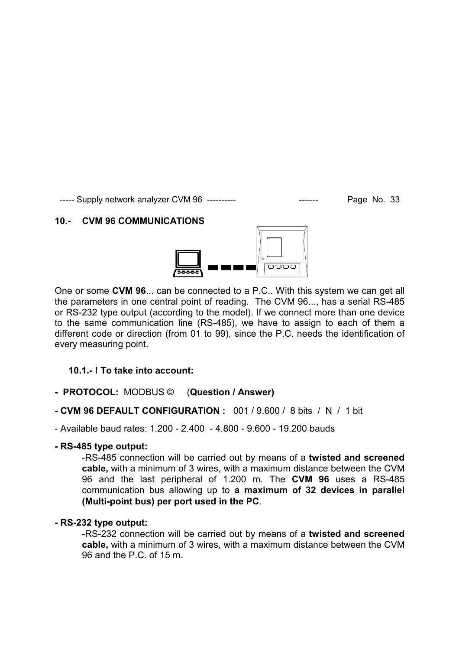#### **10.- CVM 96 COMMUNICATIONS**

![](_page_33_Figure_3.jpeg)

One or some **CVM 96**... can be connected to a P.C.. With this system we can get all the parameters in one central point of reading. The CVM 96..., has a serial RS-485 or RS-232 type output (according to the model). If we connect more than one device to the same communication line (RS-485), we have to assign to each of them a different code or direction (from 01 to 99), since the P.C. needs the identification of every measuring point.

#### **10.1.- ! To take into account:**

- **PROTOCOL:** MODBUS © (**Question / Answer)**
- **CVM 96 DEFAULT CONFIGURATION :** 001 / 9.600 / 8 bits / N / 1 bit

- Available baud rates: 1.200 - 2.400 - 4.800 - 9.600 - 19.200 bauds

#### **- RS-485 type output:**

-RS-485 connection will be carried out by means of a **twisted and screened cable,** with a minimum of 3 wires, with a maximum distance between the CVM 96 and the last peripheral of 1.200 m. The **CVM 96** uses a RS-485 communication bus allowing up to **a maximum of 32 devices in parallel (Multi-point bus) per port used in the PC**.

#### **- RS-232 type output:**

-RS-232 connection will be carried out by means of a **twisted and screened cable,** with a minimum of 3 wires, with a maximum distance between the CVM 96 and the P.C. of 15 m.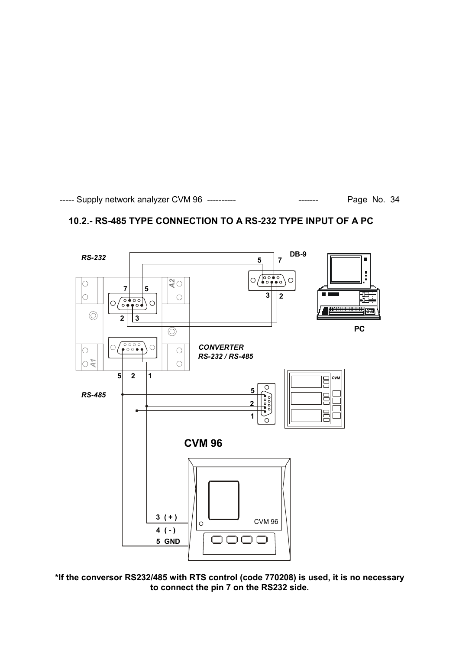# **10.2.- RS-485 TYPE CONNECTION TO A RS-232 TYPE INPUT OF A PC**

![](_page_34_Figure_3.jpeg)

**\*If the conversor RS232/485 with RTS control (code 770208) is used, it is no necessary to connect the pin 7 on the RS232 side.**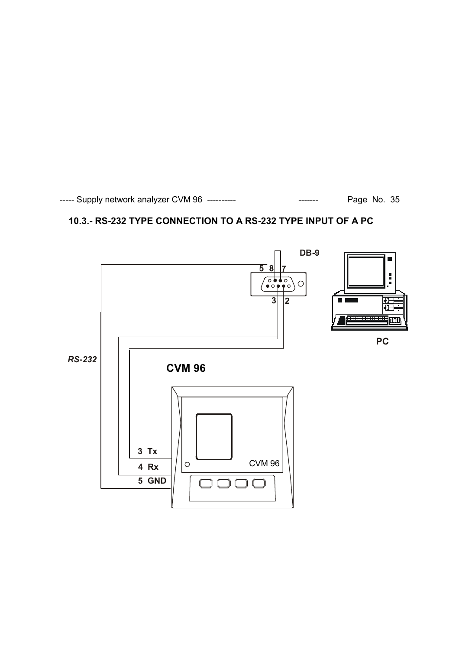# **10.3.- RS-232 TYPE CONNECTION TO A RS-232 TYPE INPUT OF A PC**

![](_page_35_Figure_2.jpeg)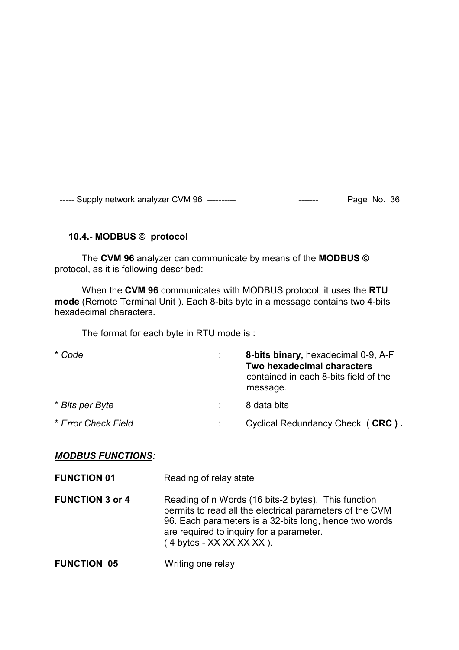#### **10.4.- MODBUS © protocol**

The **CVM 96** analyzer can communicate by means of the **MODBUS ©**  protocol, as it is following described:

 When the **CVM 96** communicates with MODBUS protocol, it uses the **RTU mode** (Remote Terminal Unit ). Each 8-bits byte in a message contains two 4-bits hexadecimal characters.

The format for each byte in RTU mode is :

| * Code              | 8-bits binary, hexadecimal 0-9, A-F<br>Two hexadecimal characters<br>contained in each 8-bits field of the<br>message. |
|---------------------|------------------------------------------------------------------------------------------------------------------------|
| * Bits per Byte     | 8 data bits                                                                                                            |
| * Error Check Field | Cyclical Redundancy Check (CRC).                                                                                       |

#### *MODBUS FUNCTIONS:*

| <b>FUNCTION 01</b>     | Reading of relay state                                                                                                                                                                                                                                       |
|------------------------|--------------------------------------------------------------------------------------------------------------------------------------------------------------------------------------------------------------------------------------------------------------|
| <b>FUNCTION 3 or 4</b> | Reading of n Words (16 bits-2 bytes). This function<br>permits to read all the electrical parameters of the CVM<br>96. Each parameters is a 32-bits long, hence two words<br>are required to inquiry for a parameter.<br>$(4 \text{ bytes} - XX XX XX XX)$ . |
| <b>FUNCTION 05</b>     | Writing one relay                                                                                                                                                                                                                                            |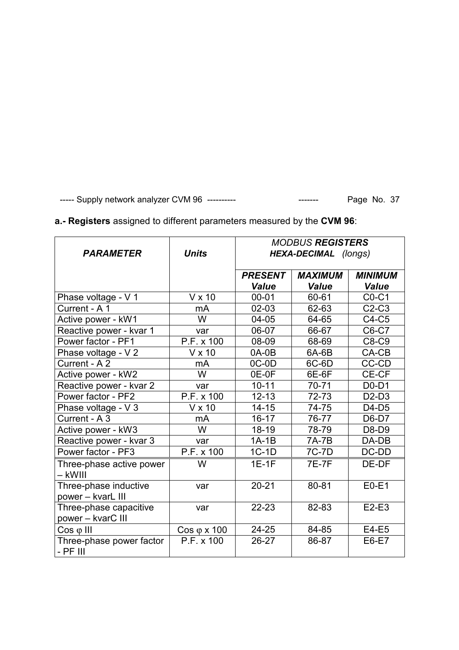# **a.- Registers** assigned to different parameters measured by the **CVM 96**:

|                                             |                          | <b>MODBUS REGISTERS</b>          |              |                |
|---------------------------------------------|--------------------------|----------------------------------|--------------|----------------|
| <b>PARAMETER</b>                            | <b>Units</b>             | HEXA-DECIMAL (longs)             |              |                |
|                                             |                          | <b>PRESENT</b><br><b>MAXIMUM</b> |              | <b>MINIMUM</b> |
|                                             |                          | <b>Value</b>                     | <b>Value</b> | <b>Value</b>   |
|                                             |                          |                                  |              |                |
| Phase voltage - V 1                         | $V \times 10$            | $00 - 01$                        | 60-61        | $CO-C1$        |
| Current - A 1                               | mA                       | $02 - 03$                        | 62-63        | $C2-C3$        |
| Active power - kW1                          | W                        | 04-05                            | 64-65        | $C4-C5$        |
| Reactive power - kvar 1                     | var                      | 06-07                            | 66-67        | C6-C7          |
| Power factor - PF1                          | P.F. x 100               | 08-09                            | 68-69        | C8-C9          |
| Phase voltage - V 2                         | $V \times 10$            | $0A-0B$                          | 6A-6B        | CA-CB          |
| Current - A 2                               | mA                       | $OC-OD$                          | 6C-6D        | CC-CD          |
| Active power - kW2                          | W                        | 0E-0F                            | 6E-6F        | CE-CF          |
| Reactive power - kvar 2                     | var                      | $10 - 11$                        | $70 - 71$    | $D0-D1$        |
| Power factor - PF2                          | P.F. x 100               | $12 - 13$                        | 72-73        | $D2-D3$        |
| Phase voltage - V 3                         | $V \times 10$            | $14 - 15$                        | 74-75        | $D4-D5$        |
| Current - A 3                               | mA                       | $16 - 17$                        | 76-77        | D6-D7          |
| Active power - kW3                          | W                        | 18-19                            | 78-79        | D8-D9          |
| Reactive power - kvar 3                     | var                      | $1A-1B$                          | 7A-7B        | DA-DB          |
| Power factor - PF3                          | P.F. x 100               | $1C-1D$                          | 7C-7D        | DC-DD          |
| Three-phase active power<br>– kWIII         | W                        | $1E-1F$                          | <b>7E-7F</b> | DE-DF          |
| Three-phase inductive<br>power - kvarL III  | var                      | $20 - 21$                        | 80-81        | $E0-E1$        |
| Three-phase capacitive<br>power - kvarC III | var                      | $22 - 23$                        | 82-83        | $E2-E3$        |
| $Cos \varphi$ III                           | $Cos \varphi \times 100$ | $24 - 25$                        | 84-85        | E4-E5          |
| Three-phase power factor<br>- PF III        | P.F. x 100               | 26-27                            | 86-87        | E6-E7          |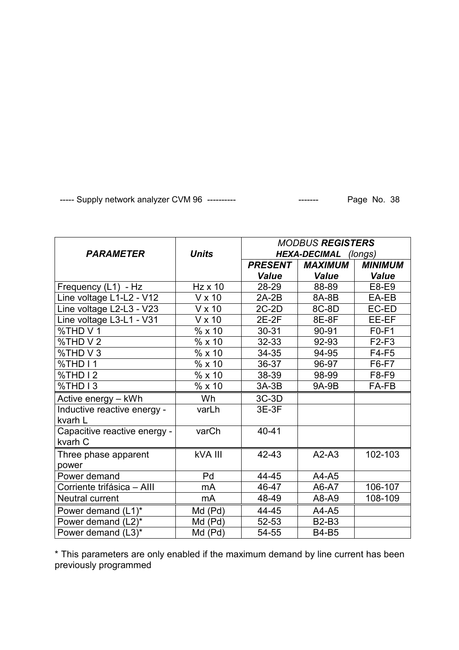|                              |                | <b>MODBUS REGISTERS</b> |                |                |
|------------------------------|----------------|-------------------------|----------------|----------------|
| <b>PARAMETER</b>             | <b>Units</b>   | HEXA-DECIMAL (longs)    |                |                |
|                              |                | <b>PRESENT</b>          | <b>MAXIMUM</b> | <b>MINIMUM</b> |
|                              |                | <b>Value</b>            | <b>Value</b>   | <b>Value</b>   |
| Frequency (L1) - Hz          | $Hz \times 10$ | 28-29                   | 88-89          | E8-E9          |
| Line voltage L1-L2 - V12     | V x 10         | $2A-2B$                 | 8A-8B          | EA-EB          |
| Line voltage L2-L3 - V23     | V x 10         | $2C-2D$                 | 8C-8D          | EC-ED          |
| Line voltage L3-L1 - V31     | $V \times 10$  | $2E-2F$                 | 8E-8F          | EE-EF          |
| %THD V1                      | % x10          | $30 - 31$               | 90-91          | $F0-F1$        |
| %THD V 2                     | % x 10         | 32-33                   | 92-93          | $F2-F3$        |
| %THD V 3                     | %x10           | 34-35                   | 94-95          | $F4-F5$        |
| %THD I1                      | % x 10         | 36-37                   | 96-97          | F6-F7          |
| %THD I 2                     | % x10          | 38-39                   | 98-99          | F8-F9          |
| %THD I3                      | % x10          | $3A-3B$                 | 9A-9B          | FA-FB          |
| Active energy - kWh          | Wh             | $3C-3D$                 |                |                |
| Inductive reactive energy -  | varLh          | $3E-3F$                 |                |                |
| kvarh L                      |                |                         |                |                |
| Capacitive reactive energy - | varCh          | $40 - 41$               |                |                |
| kvarh C                      |                |                         |                |                |
| Three phase apparent         | kVA III        | 42-43                   | $A2-A3$        | 102-103        |
| power                        |                |                         |                |                |
| Power demand                 | Pd             | 44-45                   | A4-A5          |                |
| Corriente trifásica - AIII   | mA             | 46-47                   | A6-A7          | 106-107        |
| Neutral current              | mA             | 48-49                   | A8-A9          | 108-109        |
| Power demand (L1)*           | Md (Pd)        | 44-45                   | A4-A5          |                |
| Power demand (L2)*           | Md (Pd)        | 52-53                   | <b>B2-B3</b>   |                |
| Power demand (L3)*           | Md (Pd)        | 54-55                   | <b>B4-B5</b>   |                |

\* This parameters are only enabled if the maximum demand by line current has been previously programmed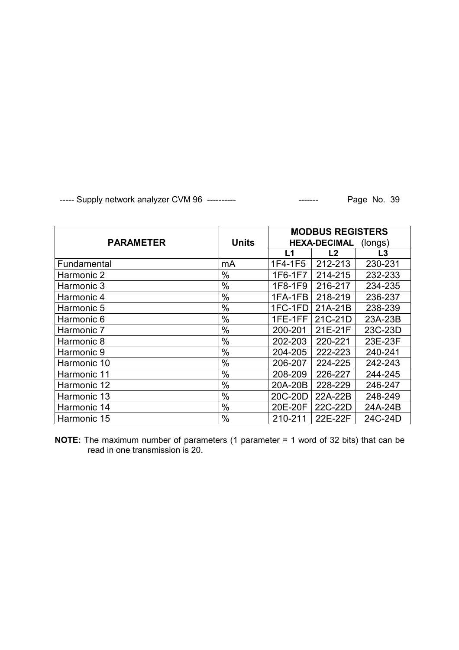|                  |              | <b>MODBUS REGISTERS</b>        |                |                |
|------------------|--------------|--------------------------------|----------------|----------------|
| <b>PARAMETER</b> | <b>Units</b> | <b>HEXA-DECIMAL</b><br>(longs) |                |                |
|                  |              | L1                             | L <sub>2</sub> | L <sub>3</sub> |
| Fundamental      | mA           | 1F4-1F5                        | 212-213        | 230-231        |
| Harmonic 2       | $\%$         | 1F6-1F7                        | 214-215        | 232-233        |
| Harmonic 3       | $\%$         | 1F8-1F9                        | 216-217        | 234-235        |
| Harmonic 4       | $\%$         | 1FA-1FB                        | 218-219        | 236-237        |
| Harmonic 5       | $\%$         | 1FC-1FD                        | 21A-21B        | 238-239        |
| Harmonic 6       | $\%$         | 1FE-1FF                        | 21C-21D        | 23A-23B        |
| Harmonic 7       | %            | 200-201                        | 21E-21F        | 23C-23D        |
| Harmonic 8       | $\%$         | 202-203                        | 220-221        | 23E-23F        |
| Harmonic 9       | $\%$         | 204-205                        | 222-223        | 240-241        |
| Harmonic 10      | $\%$         | 206-207                        | 224-225        | 242-243        |
| Harmonic 11      | $\%$         | 208-209                        | 226-227        | 244-245        |
| Harmonic 12      | $\%$         | 20A-20B                        | 228-229        | 246-247        |
| Harmonic 13      | $\%$         | 20C-20D                        | 22A-22B        | 248-249        |
| Harmonic 14      | $\%$         | 20E-20F                        | 22C-22D        | 24A-24B        |
| Harmonic 15      | $\%$         | 210-211                        | 22E-22F        | 24C-24D        |

**NOTE:** The maximum number of parameters (1 parameter = 1 word of 32 bits) that can be read in one transmission is 20.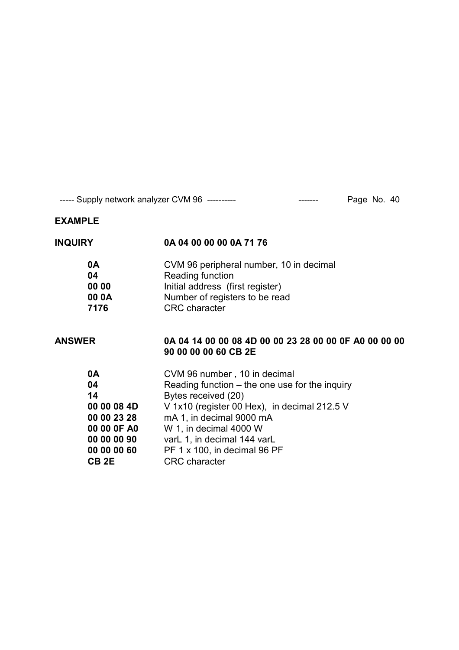# **EXAMPLE**

| <b>INQUIRY</b>   | 0A 04 00 00 00 0A 71 76                                                       |
|------------------|-------------------------------------------------------------------------------|
| 0A               | CVM 96 peripheral number, 10 in decimal                                       |
| 04               | Reading function                                                              |
| 00 00            | Initial address (first register)                                              |
| 00 0A            | Number of registers to be read                                                |
| 7176             | <b>CRC</b> character                                                          |
| ANSWER           | 0A 04 14 00 00 08 4D 00 00 23 28 00 00 0F A0 00 00 00<br>90 00 00 00 60 CB 2E |
| 0A               | CVM 96 number, 10 in decimal                                                  |
| 04               | Reading function $-$ the one use for the inquiry                              |
| 14               | Bytes received (20)                                                           |
| 00 00 08 4D      | V 1x10 (register 00 Hex), in decimal 212.5 V                                  |
| 00 00 23 28      | mA 1, in decimal 9000 mA                                                      |
| 00 00 0F A0      | W 1, in decimal 4000 W                                                        |
| 00 00 00 90      | varL 1, in decimal 144 varL                                                   |
| 00 00 00 60      | PF 1 x 100, in decimal 96 PF                                                  |
| CB <sub>2E</sub> | <b>CRC</b> character                                                          |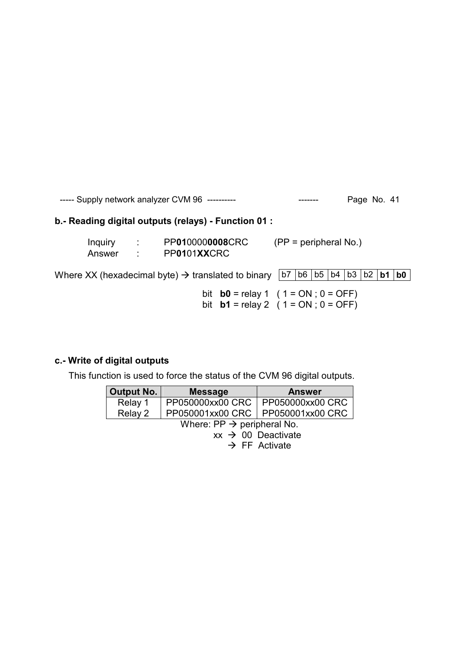# **b.- Reading digital outputs (relays) - Function 01 :**

| Inquiry | PP0100000008CRC | $(PP = peripheral No.)$ |
|---------|-----------------|-------------------------|
| Answer  | PP0101XXCRC     |                         |

Where XX (hexadecimal byte)  $\rightarrow$  translated to binary  $\boxed{b7 \mid b6 \mid b5 \mid b4 \mid b3 \mid b2 \mid b1 \mid b0}$ 

bit **b0** = relay 1 (  $1 = ON$  ;  $0 = OFF$ ) bit **b1** = relay 2 (  $1 = ON$  ;  $0 = OFF$ )

#### **c.- Write of digital outputs**

This function is used to force the status of the CVM 96 digital outputs.

| <b>Output No.</b>                      | <b>Message</b>   | <b>Answer</b>             |  |  |
|----------------------------------------|------------------|---------------------------|--|--|
| Relay 1                                | PP050000xx00 CRC | PP050000xx00 CRC          |  |  |
| Relay 2                                | PP050001xx00 CRC | PP050001xx00 CRC          |  |  |
| Where: $PP \rightarrow$ peripheral No. |                  |                           |  |  |
| $xx \rightarrow 00$ Deactivate         |                  |                           |  |  |
|                                        |                  | $\rightarrow$ FF Activate |  |  |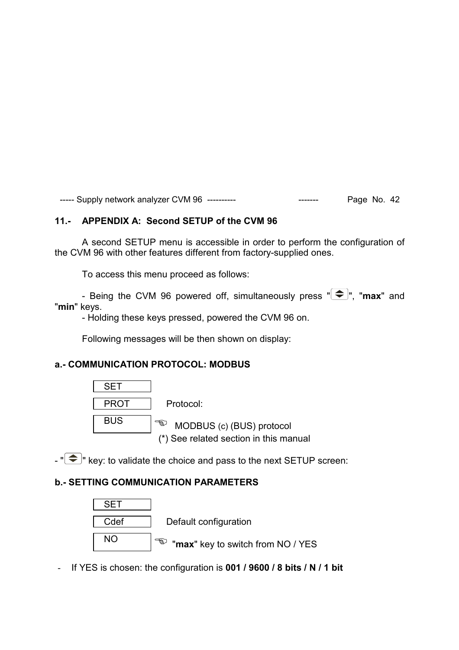#### **11.- APPENDIX A: Second SETUP of the CVM 96**

A second SETUP menu is accessible in order to perform the configuration of the CVM 96 with other features different from factory-supplied ones.

To access this menu proceed as follows:

- Being the CVM 96 powered off, simultaneously press " $\bigoplus$ ", "max" and "**min**" keys.

- Holding these keys pressed, powered the CVM 96 on.

Following messages will be then shown on display:

#### **a.- COMMUNICATION PROTOCOL: MODBUS**

![](_page_42_Figure_8.jpeg)

 $-\sqrt{2}$  key: to validate the choice and pass to the next SETUP screen:

#### **b.- SETTING COMMUNICATION PARAMETERS**

![](_page_42_Figure_11.jpeg)

- If YES is chosen: the configuration is **001 / 9600 / 8 bits / N / 1 bit**